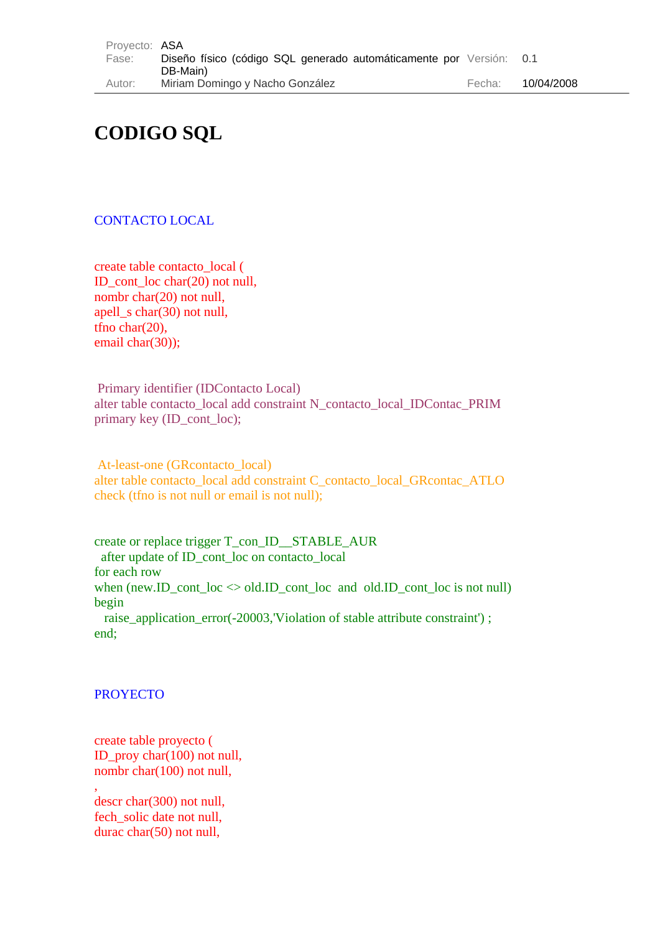| Provecto: ASA |                                                                     |        |            |
|---------------|---------------------------------------------------------------------|--------|------------|
| Fase:         | Diseño físico (código SQL generado automáticamente por Versión: 0.1 |        |            |
|               | DB-Main)                                                            |        |            |
| Autor:        | Miriam Domingo y Nacho González                                     | Fecha: | 10/04/2008 |

# **CODIGO SQL**

# CONTACTO LOCAL

create table contacto\_local ( ID\_cont\_loc char(20) not null, nombr char(20) not null, apell\_s char(30) not null, tfno char(20), email char(30));

 Primary identifier (IDContacto Local) alter table contacto local add constraint N\_contacto\_local\_IDContac\_PRIM primary key (ID cont loc);

 At-least-one (GRcontacto\_local) alter table contacto local add constraint C\_contacto\_local\_GRcontac\_ATLO check (tfno is not null or email is not null);

create or replace trigger T\_con\_ID\_\_STABLE\_AUR after update of ID\_cont\_loc on contacto\_local for each row when  $(new.ID\_cont\_loc \Leftrightarrow old.ID\_cont\_loc$  and  $old.ID\_cont\_loc$  is not null) begin raise\_application\_error(-20003,'Violation of stable attribute constraint') ; end;

#### **PROYECTO**

create table proyecto ( ID\_proy char(100) not null, nombr char(100) not null,

, descr char(300) not null, fech\_solic date not null, durac char(50) not null,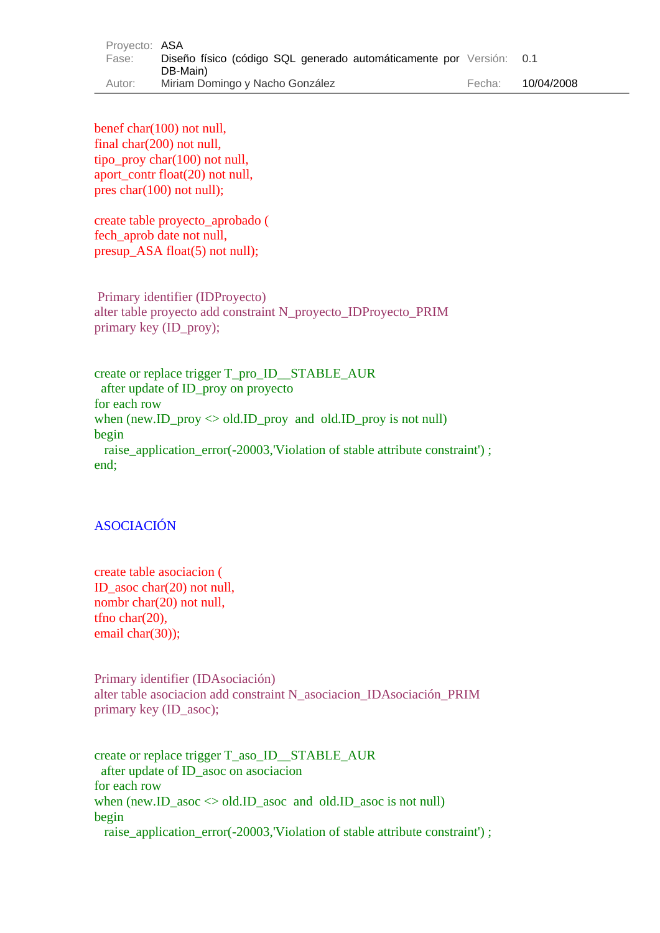| Provecto: ASA |                                                                     |        |            |
|---------------|---------------------------------------------------------------------|--------|------------|
| Fase:         | Diseño físico (código SQL generado automáticamente por Versión: 0.1 |        |            |
|               | DB-Main)                                                            |        |            |
| Autor:        | Miriam Domingo y Nacho González                                     | Fecha: | 10/04/2008 |

benef char(100) not null, final char(200) not null, tipo\_proy char(100) not null, aport contr float(20) not null, pres char(100) not null);

create table proyecto\_aprobado ( fech\_aprob date not null, presup ASA float(5) not null);

 Primary identifier (IDProyecto) alter table proyecto add constraint N\_proyecto\_IDProyecto\_PRIM primary key (ID\_proy);

create or replace trigger T\_pro\_ID\_\_STABLE\_AUR after update of ID\_proy on proyecto for each row when (new.ID proy  $\leq$  old.ID proy and old.ID proy is not null) begin raise\_application\_error(-20003,'Violation of stable attribute constraint') ; end;

# ASOCIACIÓN

create table asociacion ( ID\_asoc char(20) not null, nombr char(20) not null, tfno char(20), email char(30));

Primary identifier (IDAsociación) alter table asociacion add constraint N\_asociacion\_IDAsociación\_PRIM primary key (ID\_asoc);

create or replace trigger T\_aso\_ID\_\_STABLE\_AUR after update of ID\_asoc on asociacion for each row when (new.ID\_asoc  $\leq$  old.ID\_asoc and old.ID\_asoc is not null) begin raise\_application\_error(-20003,'Violation of stable attribute constraint') ;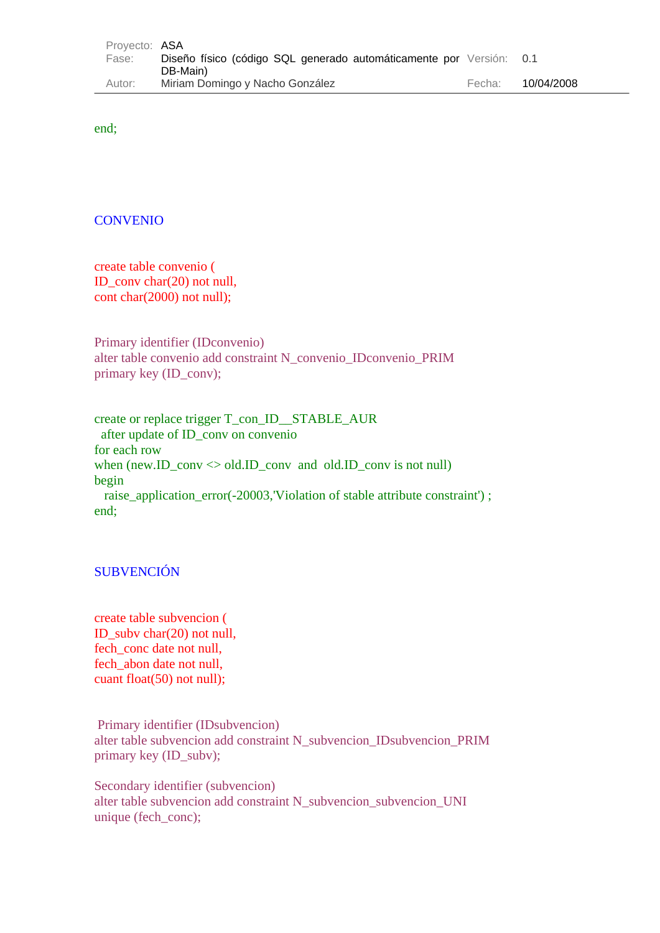| Provecto: ASA |                                                                     |        |            |
|---------------|---------------------------------------------------------------------|--------|------------|
| Fase:         | Diseño físico (código SQL generado automáticamente por Versión: 0.1 |        |            |
|               | DB-Main)                                                            |        |            |
| Autor:        | Miriam Domingo y Nacho González                                     | Fecha: | 10/04/2008 |

end;

### **CONVENIO**

create table convenio ( ID\_conv char(20) not null, cont char(2000) not null);

Primary identifier (IDconvenio) alter table convenio add constraint N\_convenio\_IDconvenio\_PRIM primary key (ID\_conv);

create or replace trigger T\_con\_ID\_\_STABLE\_AUR after update of ID\_conv on convenio for each row when (new.ID\_conv  $\leq$  old.ID\_conv and old.ID\_conv is not null) begin raise\_application\_error(-20003,'Violation of stable attribute constraint') ; end;

# SUBVENCIÓN

create table subvencion ( ID\_subv char(20) not null, fech\_conc date not null, fech\_abon date not null, cuant float(50) not null);

Primary identifier (IDsubvencion) alter table subvencion add constraint N\_subvencion\_IDsubvencion\_PRIM primary key (ID\_subv);

Secondary identifier (subvencion) alter table subvencion add constraint N\_subvencion\_subvencion\_UNI unique (fech\_conc);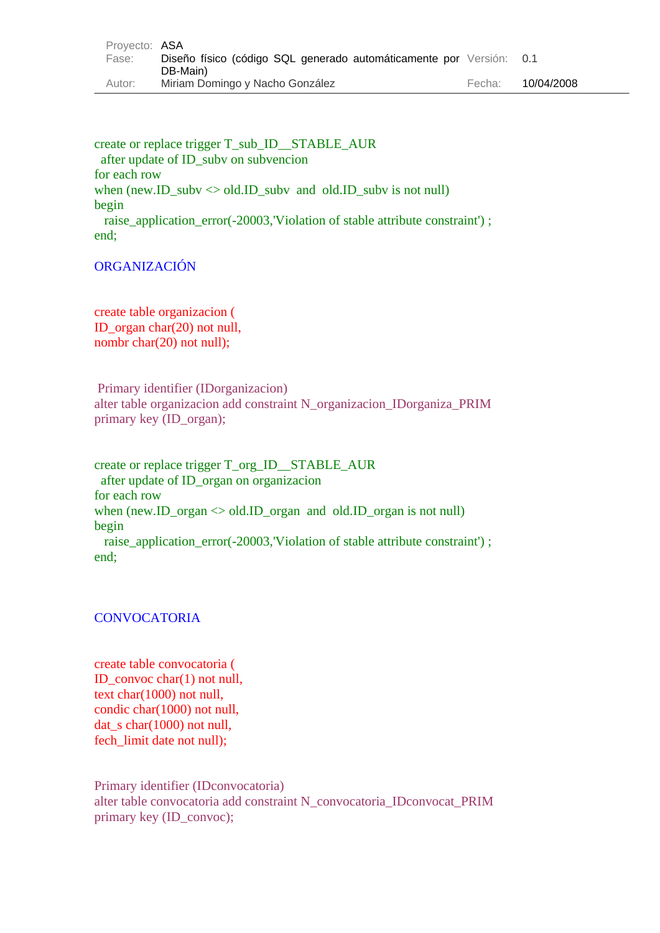| Provecto: ASA |                                                                     |        |            |
|---------------|---------------------------------------------------------------------|--------|------------|
| Fase:         | Diseño físico (código SQL generado automáticamente por Versión: 0.1 |        |            |
|               | DB-Main)                                                            |        |            |
| Autor:        | Miriam Domingo y Nacho González                                     | Fecha: | 10/04/2008 |

create or replace trigger T\_sub\_ID\_\_STABLE\_AUR after update of ID\_subv on subvencion for each row when (new.ID\_subv  $\Diamond$  old.ID\_subv and old.ID\_subv is not null) begin raise application error(-20003,'Violation of stable attribute constraint') ; end;

# ORGANIZACIÓN

create table organizacion ( ID\_organ char(20) not null, nombr char(20) not null);

 Primary identifier (IDorganizacion) alter table organizacion add constraint N\_organizacion\_IDorganiza\_PRIM primary key (ID\_organ);

create or replace trigger T\_org\_ID\_\_STABLE\_AUR after update of ID\_organ on organizacion for each row when  $(new.ID_{organ} \ll old. ID_{organ}$  and  $old.ID_{organ}$  is not null) begin raise\_application\_error(-20003,'Violation of stable attribute constraint'); end;

### **CONVOCATORIA**

create table convocatoria ( ID\_convoc char(1) not null, text char(1000) not null, condic char(1000) not null, dat\_s char(1000) not null, fech limit date not null);

Primary identifier (IDconvocatoria) alter table convocatoria add constraint N\_convocatoria\_IDconvocat\_PRIM primary key (ID\_convoc);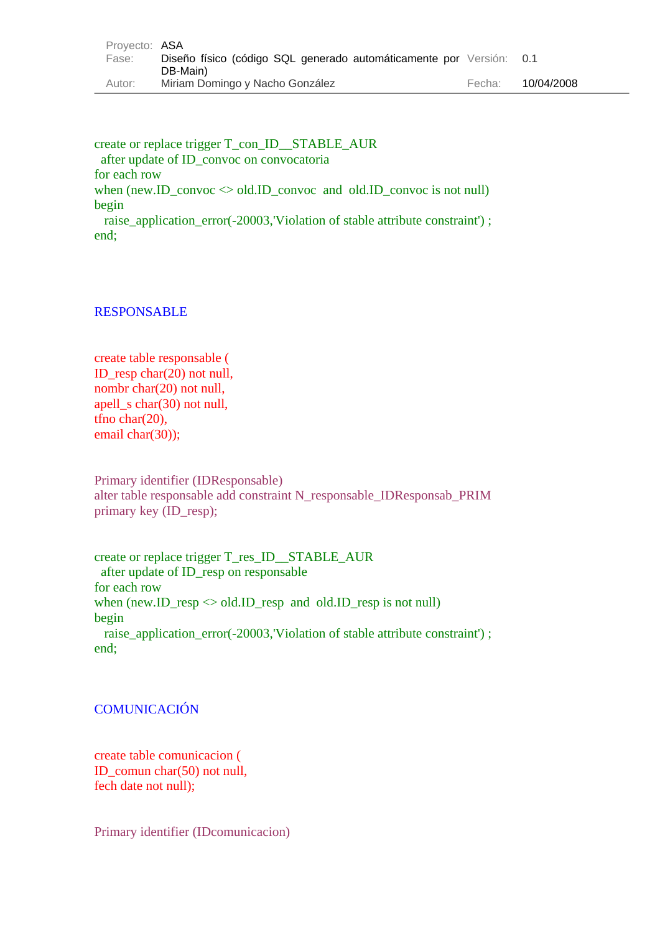| Provecto: ASA |                                                                     |        |            |
|---------------|---------------------------------------------------------------------|--------|------------|
| Fase:         | Diseño físico (código SQL generado automáticamente por Versión: 0.1 |        |            |
|               | DB-Main)                                                            |        |            |
| Autor:        | Miriam Domingo y Nacho González                                     | Fecha: | 10/04/2008 |

create or replace trigger T\_con\_ID\_\_STABLE\_AUR after update of ID\_convoc on convocatoria for each row when  $(new.ID\_convoc \diamond old.ID\_convoc$  and  $old.ID\_convoc$  is not null) begin raise application error(-20003,'Violation of stable attribute constraint') ; end;

## RESPONSABLE

create table responsable ( ID resp char( $20$ ) not null, nombr char(20) not null, apell\_s char(30) not null, tfno char(20), email char(30));

Primary identifier (IDResponsable) alter table responsable add constraint N\_responsable\_IDResponsab\_PRIM primary key (ID\_resp);

create or replace trigger T\_res\_ID\_\_STABLE\_AUR after update of ID\_resp on responsable for each row when (new.ID\_resp  $\Diamond$  old.ID\_resp and old.ID\_resp is not null) begin raise\_application\_error(-20003,'Violation of stable attribute constraint') ; end;

# **COMUNICACIÓN**

create table comunicacion ( ID\_comun char(50) not null, fech date not null);

Primary identifier (IDcomunicacion)